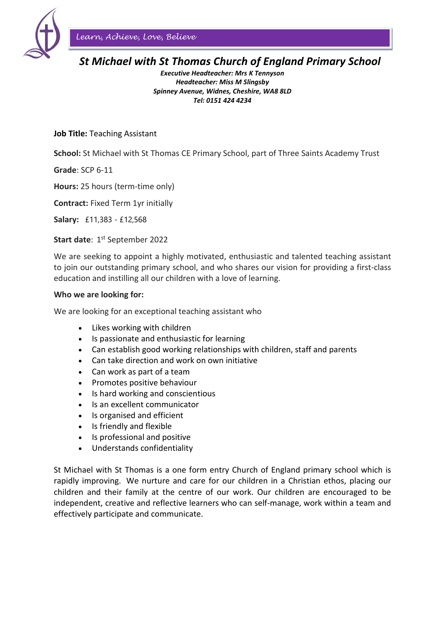

*Learn, Achieve, Love, Believe*

# *St Michael with St Thomas Church of England Primary School*

*Executive Headteacher: Mrs K Tennyson Headteacher: Miss M Slingsby Spinney Avenue, Widnes, Cheshire, WA8 8LD Tel: 0151 424 4234* 

## **Job Title:** Teaching Assistant

**School:** St Michael with St Thomas CE Primary School, part of Three Saints Academy Trust

**Grade**: SCP 6-11

**Hours:** 25 hours (term-time only)

**Contract:** Fixed Term 1yr initially

**Salary:** £11,383 - £12,568

#### **Start date: 1st September 2022**

We are seeking to appoint a highly motivated, enthusiastic and talented teaching assistant to join our outstanding primary school, and who shares our vision for providing a first-class education and instilling all our children with a love of learning.

#### **Who we are looking for:**

We are looking for an exceptional teaching assistant who

- Likes working with children
- Is passionate and enthusiastic for learning
- Can establish good working relationships with children, staff and parents
- Can take direction and work on own initiative
- Can work as part of a team
- Promotes positive behaviour
- Is hard working and conscientious
- Is an excellent communicator
- Is organised and efficient
- Is friendly and flexible
- Is professional and positive
- Understands confidentiality

St Michael with St Thomas is a one form entry Church of England primary school which is rapidly improving. We nurture and care for our children in a Christian ethos, placing our children and their family at the centre of our work. Our children are encouraged to be independent, creative and reflective learners who can self-manage, work within a team and effectively participate and communicate.